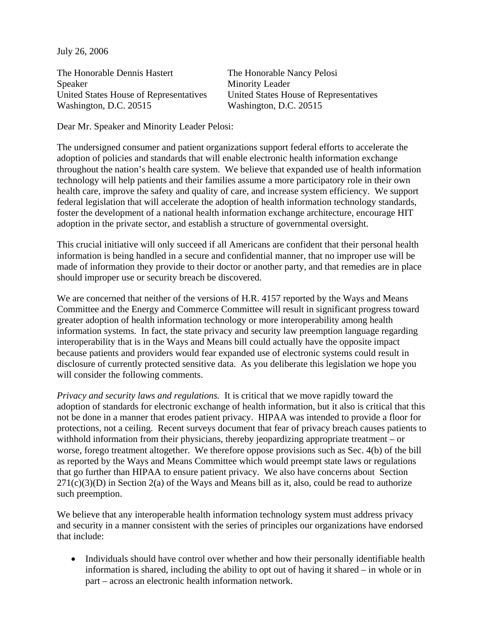July 26, 2006

The Honorable Dennis Hastert The Honorable Nancy Pelosi Speaker Minority Leader United States House of Representatives United States House of Representatives Washington, D.C. 20515 Washington, D.C. 20515

Dear Mr. Speaker and Minority Leader Pelosi:

The undersigned consumer and patient organizations support federal efforts to accelerate the adoption of policies and standards that will enable electronic health information exchange throughout the nation's health care system. We believe that expanded use of health information technology will help patients and their families assume a more participatory role in their own health care, improve the safety and quality of care, and increase system efficiency. We support federal legislation that will accelerate the adoption of health information technology standards, foster the development of a national health information exchange architecture, encourage HIT adoption in the private sector, and establish a structure of governmental oversight.

This crucial initiative will only succeed if all Americans are confident that their personal health information is being handled in a secure and confidential manner, that no improper use will be made of information they provide to their doctor or another party, and that remedies are in place should improper use or security breach be discovered.

We are concerned that neither of the versions of H.R. 4157 reported by the Ways and Means Committee and the Energy and Commerce Committee will result in significant progress toward greater adoption of health information technology or more interoperability among health information systems. In fact, the state privacy and security law preemption language regarding interoperability that is in the Ways and Means bill could actually have the opposite impact because patients and providers would fear expanded use of electronic systems could result in disclosure of currently protected sensitive data. As you deliberate this legislation we hope you will consider the following comments.

*Privacy and security laws and regulations.* It is critical that we move rapidly toward the adoption of standards for electronic exchange of health information, but it also is critical that this not be done in a manner that erodes patient privacy. HIPAA was intended to provide a floor for protections, not a ceiling. Recent surveys document that fear of privacy breach causes patients to withhold information from their physicians, thereby jeopardizing appropriate treatment – or worse, forego treatment altogether. We therefore oppose provisions such as Sec. 4(b) of the bill as reported by the Ways and Means Committee which would preempt state laws or regulations that go further than HIPAA to ensure patient privacy. We also have concerns about Section  $271(c)(3)(D)$  in Section  $2(a)$  of the Ways and Means bill as it, also, could be read to authorize such preemption.

We believe that any interoperable health information technology system must address privacy and security in a manner consistent with the series of principles our organizations have endorsed that include:

• Individuals should have control over whether and how their personally identifiable health information is shared, including the ability to opt out of having it shared – in whole or in part – across an electronic health information network.